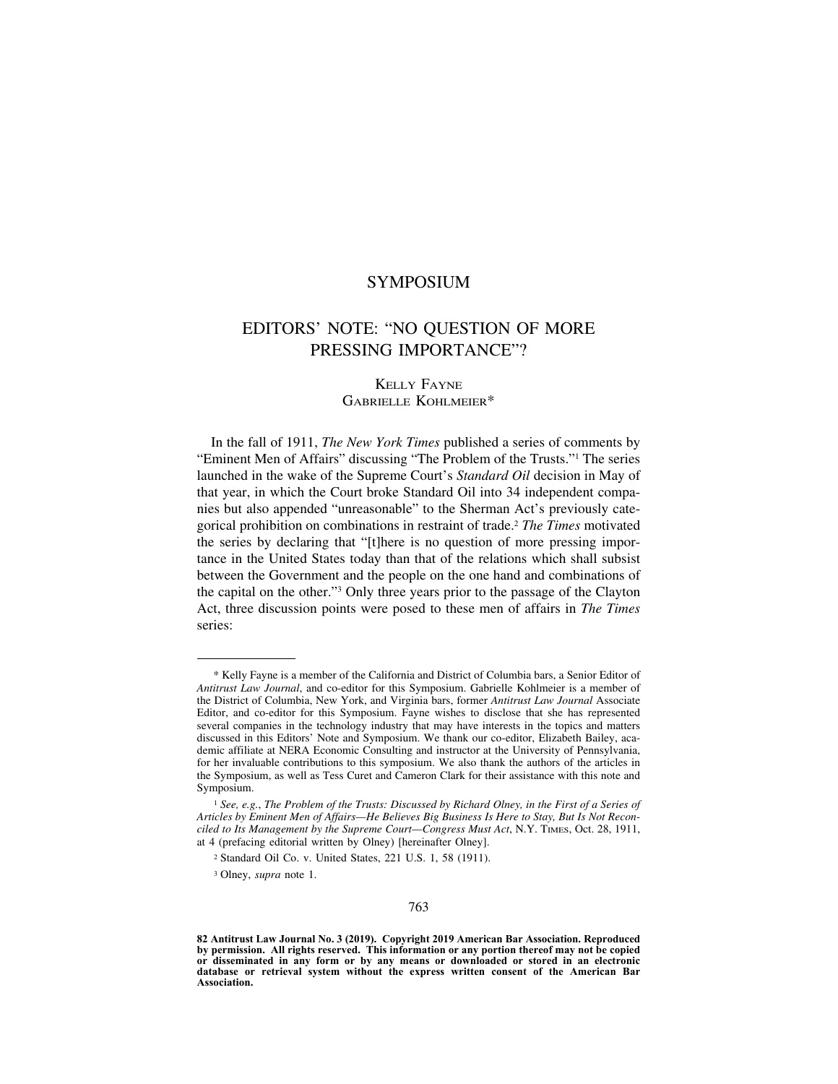## SYMPOSIUM

## EDITORS' NOTE: "NO QUESTION OF MORE PRESSING IMPORTANCE"?

## KELLY FAYNE GABRIELLE KOHLMEIER\*

In the fall of 1911, *The New York Times* published a series of comments by "Eminent Men of Affairs" discussing "The Problem of the Trusts."1 The series launched in the wake of the Supreme Court's *Standard Oil* decision in May of that year, in which the Court broke Standard Oil into 34 independent companies but also appended "unreasonable" to the Sherman Act's previously categorical prohibition on combinations in restraint of trade.2 *The Times* motivated the series by declaring that "[t]here is no question of more pressing importance in the United States today than that of the relations which shall subsist between the Government and the people on the one hand and combinations of the capital on the other."3 Only three years prior to the passage of the Clayton Act, three discussion points were posed to these men of affairs in *The Times* series:

<sup>\*</sup> Kelly Fayne is a member of the California and District of Columbia bars, a Senior Editor of *Antitrust Law Journal*, and co-editor for this Symposium. Gabrielle Kohlmeier is a member of the District of Columbia, New York, and Virginia bars, former *Antitrust Law Journal* Associate Editor, and co-editor for this Symposium. Fayne wishes to disclose that she has represented several companies in the technology industry that may have interests in the topics and matters discussed in this Editors' Note and Symposium. We thank our co-editor, Elizabeth Bailey, academic affiliate at NERA Economic Consulting and instructor at the University of Pennsylvania, for her invaluable contributions to this symposium. We also thank the authors of the articles in the Symposium, as well as Tess Curet and Cameron Clark for their assistance with this note and Symposium.

<sup>1</sup> *See, e.g.*, *The Problem of the Trusts: Discussed by Richard Olney, in the First of a Series of Articles by Eminent Men of Affairs—He Believes Big Business Is Here to Stay, But Is Not Reconciled to Its Management by the Supreme Court—Congress Must Act*, N.Y. TIMES, Oct. 28, 1911, at 4 (prefacing editorial written by Olney) [hereinafter Olney].

<sup>2</sup> Standard Oil Co. v. United States, 221 U.S. 1, 58 (1911).

<sup>3</sup> Olney, *supra* note 1.

**<sup>82</sup> Antitrust Law Journal No. 3 (2019). Copyright 2019 American Bar Association. Reproduced by permission. All rights reserved. This information or any portion thereof may not be copied or disseminated in any form or by any means or downloaded or stored in an electronic database or retrieval system without the express written consent of the American Bar Association.**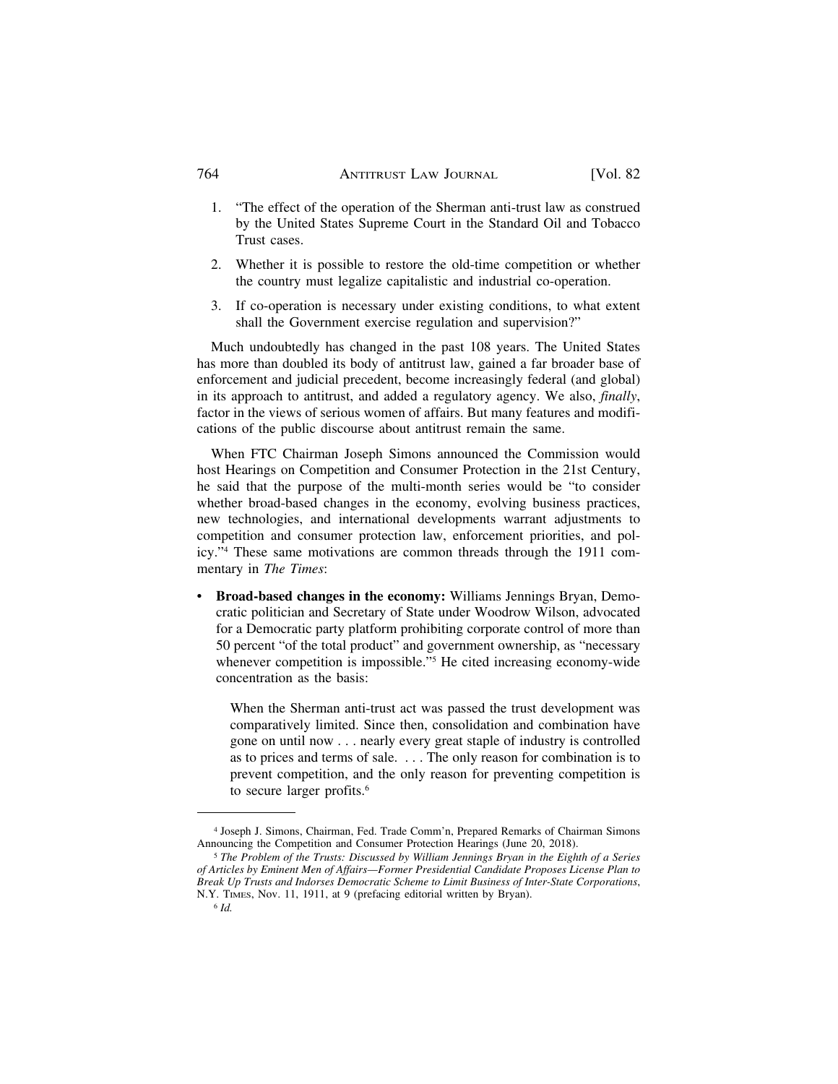## 764 ANTITRUST LAW JOURNAL [Vol. 82

- 1. "The effect of the operation of the Sherman anti-trust law as construed by the United States Supreme Court in the Standard Oil and Tobacco Trust cases.
- 2. Whether it is possible to restore the old-time competition or whether the country must legalize capitalistic and industrial co-operation.
- 3. If co-operation is necessary under existing conditions, to what extent shall the Government exercise regulation and supervision?"

Much undoubtedly has changed in the past 108 years. The United States has more than doubled its body of antitrust law, gained a far broader base of enforcement and judicial precedent, become increasingly federal (and global) in its approach to antitrust, and added a regulatory agency. We also, *finally*, factor in the views of serious women of affairs. But many features and modifications of the public discourse about antitrust remain the same.

When FTC Chairman Joseph Simons announced the Commission would host Hearings on Competition and Consumer Protection in the 21st Century, he said that the purpose of the multi-month series would be "to consider whether broad-based changes in the economy, evolving business practices, new technologies, and international developments warrant adjustments to competition and consumer protection law, enforcement priorities, and policy."4 These same motivations are common threads through the 1911 commentary in *The Times*:

• **Broad-based changes in the economy:** Williams Jennings Bryan, Democratic politician and Secretary of State under Woodrow Wilson, advocated for a Democratic party platform prohibiting corporate control of more than 50 percent "of the total product" and government ownership, as "necessary whenever competition is impossible."<sup>5</sup> He cited increasing economy-wide concentration as the basis:

When the Sherman anti-trust act was passed the trust development was comparatively limited. Since then, consolidation and combination have gone on until now . . . nearly every great staple of industry is controlled as to prices and terms of sale. . . . The only reason for combination is to prevent competition, and the only reason for preventing competition is to secure larger profits.<sup>6</sup>

<sup>4</sup> Joseph J. Simons, Chairman, Fed. Trade Comm'n, Prepared Remarks of Chairman Simons Announcing the Competition and Consumer Protection Hearings (June 20, 2018).

<sup>5</sup> *The Problem of the Trusts: Discussed by William Jennings Bryan in the Eighth of a Series of Articles by Eminent Men of Affairs—Former Presidential Candidate Proposes License Plan to Break Up Trusts and Indorses Democratic Scheme to Limit Business of Inter-State Corporations*, N.Y. TIMES, Nov. 11, 1911, at 9 (prefacing editorial written by Bryan).

<sup>6</sup> *Id.*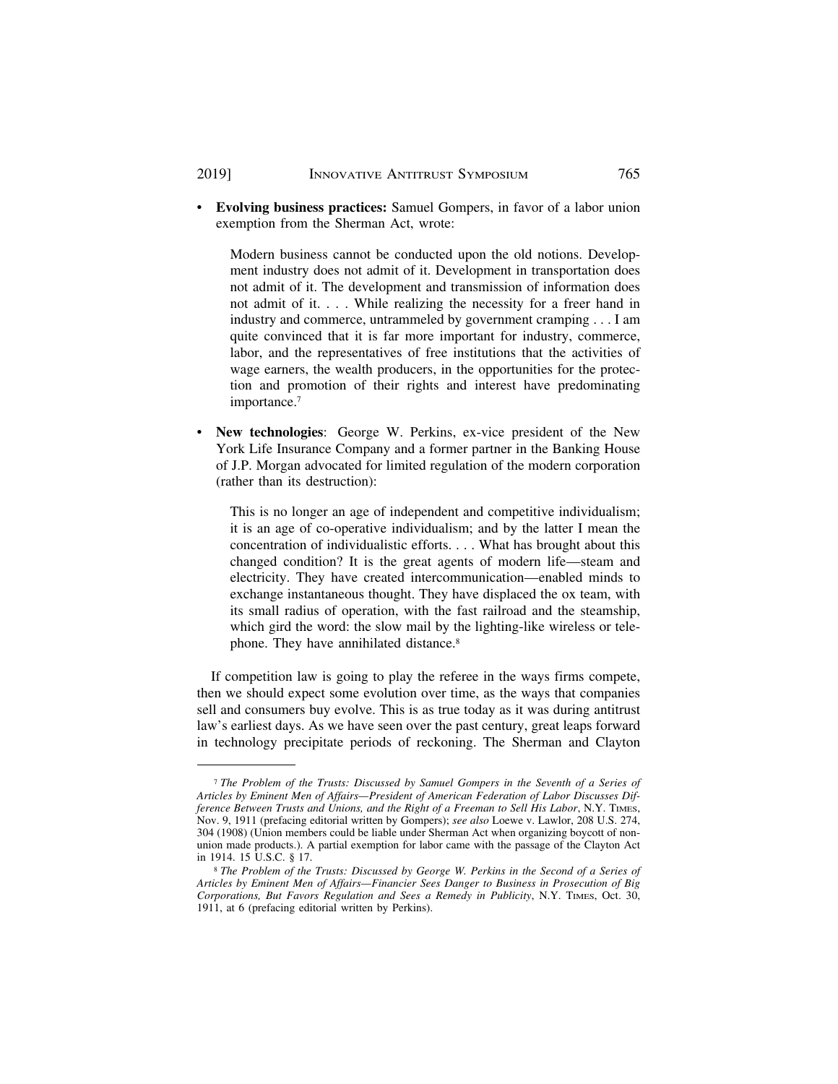• **Evolving business practices:** Samuel Gompers, in favor of a labor union exemption from the Sherman Act, wrote:

Modern business cannot be conducted upon the old notions. Development industry does not admit of it. Development in transportation does not admit of it. The development and transmission of information does not admit of it. . . . While realizing the necessity for a freer hand in industry and commerce, untrammeled by government cramping . . . I am quite convinced that it is far more important for industry, commerce, labor, and the representatives of free institutions that the activities of wage earners, the wealth producers, in the opportunities for the protection and promotion of their rights and interest have predominating importance.7

• **New technologies**: George W. Perkins, ex-vice president of the New York Life Insurance Company and a former partner in the Banking House of J.P. Morgan advocated for limited regulation of the modern corporation (rather than its destruction):

This is no longer an age of independent and competitive individualism; it is an age of co-operative individualism; and by the latter I mean the concentration of individualistic efforts. . . . What has brought about this changed condition? It is the great agents of modern life—steam and electricity. They have created intercommunication—enabled minds to exchange instantaneous thought. They have displaced the ox team, with its small radius of operation, with the fast railroad and the steamship, which gird the word: the slow mail by the lighting-like wireless or telephone. They have annihilated distance.8

If competition law is going to play the referee in the ways firms compete, then we should expect some evolution over time, as the ways that companies sell and consumers buy evolve. This is as true today as it was during antitrust law's earliest days. As we have seen over the past century, great leaps forward in technology precipitate periods of reckoning. The Sherman and Clayton

<sup>7</sup> *The Problem of the Trusts: Discussed by Samuel Gompers in the Seventh of a Series of Articles by Eminent Men of Affairs—President of American Federation of Labor Discusses Difference Between Trusts and Unions, and the Right of a Freeman to Sell His Labor*, N.Y. TIMES, Nov. 9, 1911 (prefacing editorial written by Gompers); *see also* Loewe v. Lawlor, 208 U.S. 274, 304 (1908) (Union members could be liable under Sherman Act when organizing boycott of nonunion made products.). A partial exemption for labor came with the passage of the Clayton Act in 1914. 15 U.S.C. § 17.

<sup>8</sup> *The Problem of the Trusts: Discussed by George W. Perkins in the Second of a Series of Articles by Eminent Men of Affairs—Financier Sees Danger to Business in Prosecution of Big Corporations, But Favors Regulation and Sees a Remedy in Publicity*, N.Y. TIMES, Oct. 30, 1911, at 6 (prefacing editorial written by Perkins).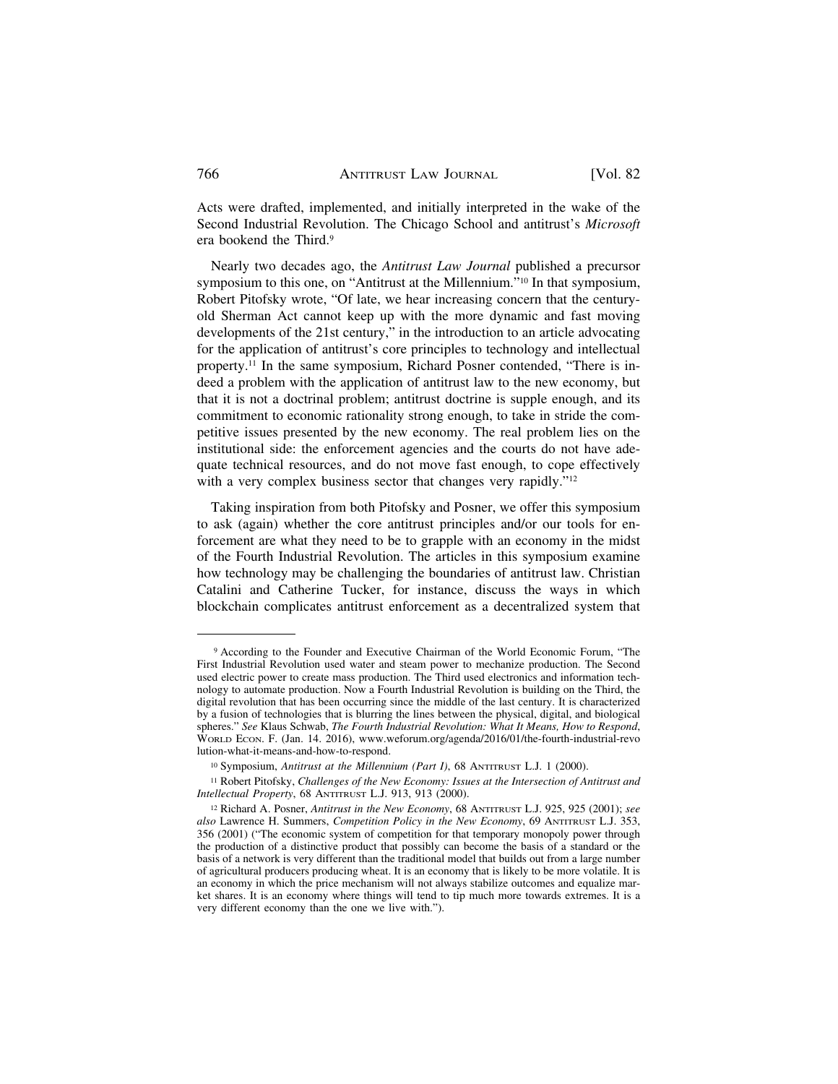Acts were drafted, implemented, and initially interpreted in the wake of the Second Industrial Revolution. The Chicago School and antitrust's *Microsoft* era bookend the Third.<sup>9</sup>

Nearly two decades ago, the *Antitrust Law Journal* published a precursor symposium to this one, on "Antitrust at the Millennium."10 In that symposium, Robert Pitofsky wrote, "Of late, we hear increasing concern that the centuryold Sherman Act cannot keep up with the more dynamic and fast moving developments of the 21st century," in the introduction to an article advocating for the application of antitrust's core principles to technology and intellectual property.11 In the same symposium, Richard Posner contended, "There is indeed a problem with the application of antitrust law to the new economy, but that it is not a doctrinal problem; antitrust doctrine is supple enough, and its commitment to economic rationality strong enough, to take in stride the competitive issues presented by the new economy. The real problem lies on the institutional side: the enforcement agencies and the courts do not have adequate technical resources, and do not move fast enough, to cope effectively with a very complex business sector that changes very rapidly."<sup>12</sup>

Taking inspiration from both Pitofsky and Posner, we offer this symposium to ask (again) whether the core antitrust principles and/or our tools for enforcement are what they need to be to grapple with an economy in the midst of the Fourth Industrial Revolution. The articles in this symposium examine how technology may be challenging the boundaries of antitrust law. Christian Catalini and Catherine Tucker, for instance, discuss the ways in which blockchain complicates antitrust enforcement as a decentralized system that

<sup>9</sup> According to the Founder and Executive Chairman of the World Economic Forum, "The First Industrial Revolution used water and steam power to mechanize production. The Second used electric power to create mass production. The Third used electronics and information technology to automate production. Now a Fourth Industrial Revolution is building on the Third, the digital revolution that has been occurring since the middle of the last century. It is characterized by a fusion of technologies that is blurring the lines between the physical, digital, and biological spheres." *See* Klaus Schwab, *The Fourth Industrial Revolution: What It Means, How to Respond*, WORLD ECON. F. (Jan. 14. 2016), www.weforum.org/agenda/2016/01/the-fourth-industrial-revo lution-what-it-means-and-how-to-respond.

<sup>&</sup>lt;sup>10</sup> Symposium, *Antitrust at the Millennium (Part I)*, 68 ANTITRUST L.J. 1 (2000).

<sup>11</sup> Robert Pitofsky, *Challenges of the New Economy: Issues at the Intersection of Antitrust and Intellectual Property*, 68 ANTITRUST L.J. 913, 913 (2000).

<sup>12</sup> Richard A. Posner, *Antitrust in the New Economy*, 68 ANTITRUST L.J. 925, 925 (2001); *see also* Lawrence H. Summers, *Competition Policy in the New Economy*, 69 ANTITRUST L.J. 353, 356 (2001) ("The economic system of competition for that temporary monopoly power through the production of a distinctive product that possibly can become the basis of a standard or the basis of a network is very different than the traditional model that builds out from a large number of agricultural producers producing wheat. It is an economy that is likely to be more volatile. It is an economy in which the price mechanism will not always stabilize outcomes and equalize market shares. It is an economy where things will tend to tip much more towards extremes. It is a very different economy than the one we live with.").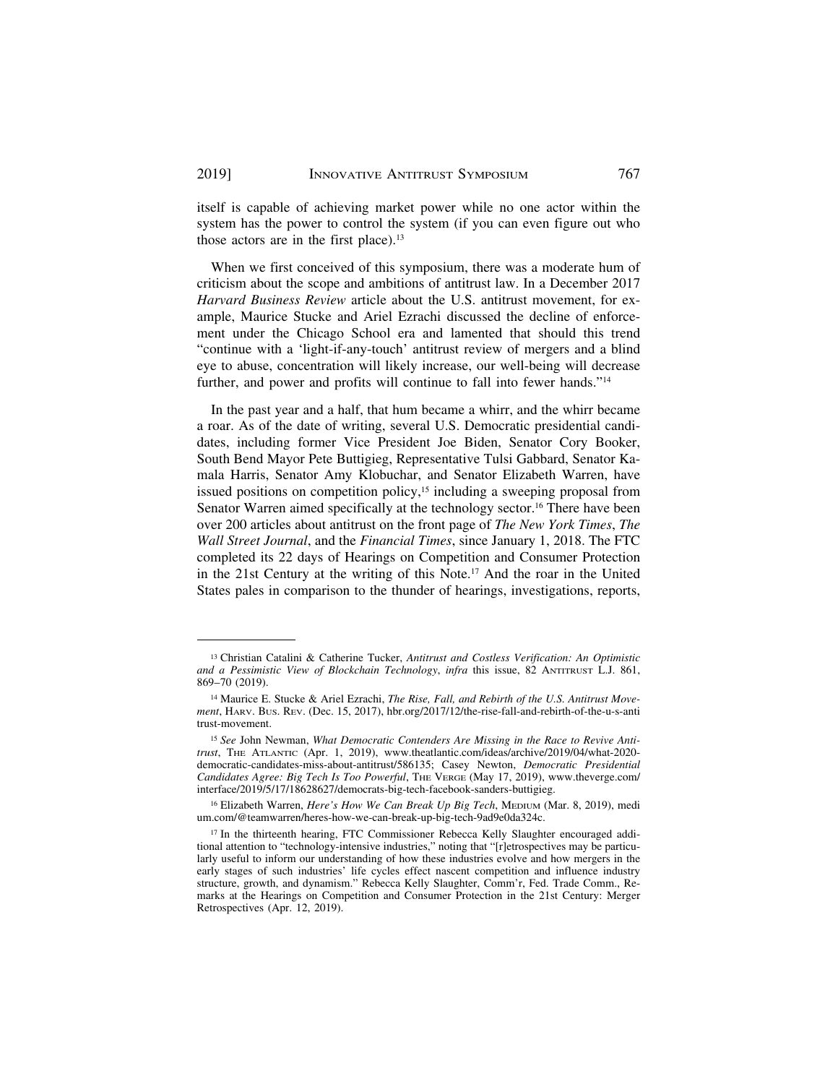itself is capable of achieving market power while no one actor within the system has the power to control the system (if you can even figure out who those actors are in the first place).<sup>13</sup>

When we first conceived of this symposium, there was a moderate hum of criticism about the scope and ambitions of antitrust law. In a December 2017 *Harvard Business Review* article about the U.S. antitrust movement, for example, Maurice Stucke and Ariel Ezrachi discussed the decline of enforcement under the Chicago School era and lamented that should this trend "continue with a 'light-if-any-touch' antitrust review of mergers and a blind eye to abuse, concentration will likely increase, our well-being will decrease further, and power and profits will continue to fall into fewer hands."14

In the past year and a half, that hum became a whirr, and the whirr became a roar. As of the date of writing, several U.S. Democratic presidential candidates, including former Vice President Joe Biden, Senator Cory Booker, South Bend Mayor Pete Buttigieg, Representative Tulsi Gabbard, Senator Kamala Harris, Senator Amy Klobuchar, and Senator Elizabeth Warren, have issued positions on competition policy,<sup>15</sup> including a sweeping proposal from Senator Warren aimed specifically at the technology sector.<sup>16</sup> There have been over 200 articles about antitrust on the front page of *The New York Times*, *The Wall Street Journal*, and the *Financial Times*, since January 1, 2018. The FTC completed its 22 days of Hearings on Competition and Consumer Protection in the 21st Century at the writing of this Note.17 And the roar in the United States pales in comparison to the thunder of hearings, investigations, reports,

<sup>13</sup> Christian Catalini & Catherine Tucker, *Antitrust and Costless Verification: An Optimistic and a Pessimistic View of Blockchain Technology*, *infra* this issue, 82 ANTITRUST L.J. 861, 869–70 (2019).

<sup>14</sup> Maurice E. Stucke & Ariel Ezrachi, *The Rise, Fall, and Rebirth of the U.S. Antitrust Movement*, HARV. BUS. REV. (Dec. 15, 2017), hbr.org/2017/12/the-rise-fall-and-rebirth-of-the-u-s-anti trust-movement.

<sup>15</sup> *See* John Newman, *What Democratic Contenders Are Missing in the Race to Revive Antitrust*, THE ATLANTIC (Apr. 1, 2019), www.theatlantic.com/ideas/archive/2019/04/what-2020 democratic-candidates-miss-about-antitrust/586135; Casey Newton, *Democratic Presidential Candidates Agree: Big Tech Is Too Powerful*, THE VERGE (May 17, 2019), www.theverge.com/ interface/2019/5/17/18628627/democrats-big-tech-facebook-sanders-buttigieg.

<sup>16</sup> Elizabeth Warren, *Here's How We Can Break Up Big Tech*, MEDIUM (Mar. 8, 2019), medi um.com/@teamwarren/heres-how-we-can-break-up-big-tech-9ad9e0da324c.

<sup>&</sup>lt;sup>17</sup> In the thirteenth hearing, FTC Commissioner Rebecca Kelly Slaughter encouraged additional attention to "technology-intensive industries," noting that "[r]etrospectives may be particularly useful to inform our understanding of how these industries evolve and how mergers in the early stages of such industries' life cycles effect nascent competition and influence industry structure, growth, and dynamism." Rebecca Kelly Slaughter, Comm'r, Fed. Trade Comm., Remarks at the Hearings on Competition and Consumer Protection in the 21st Century: Merger Retrospectives (Apr. 12, 2019).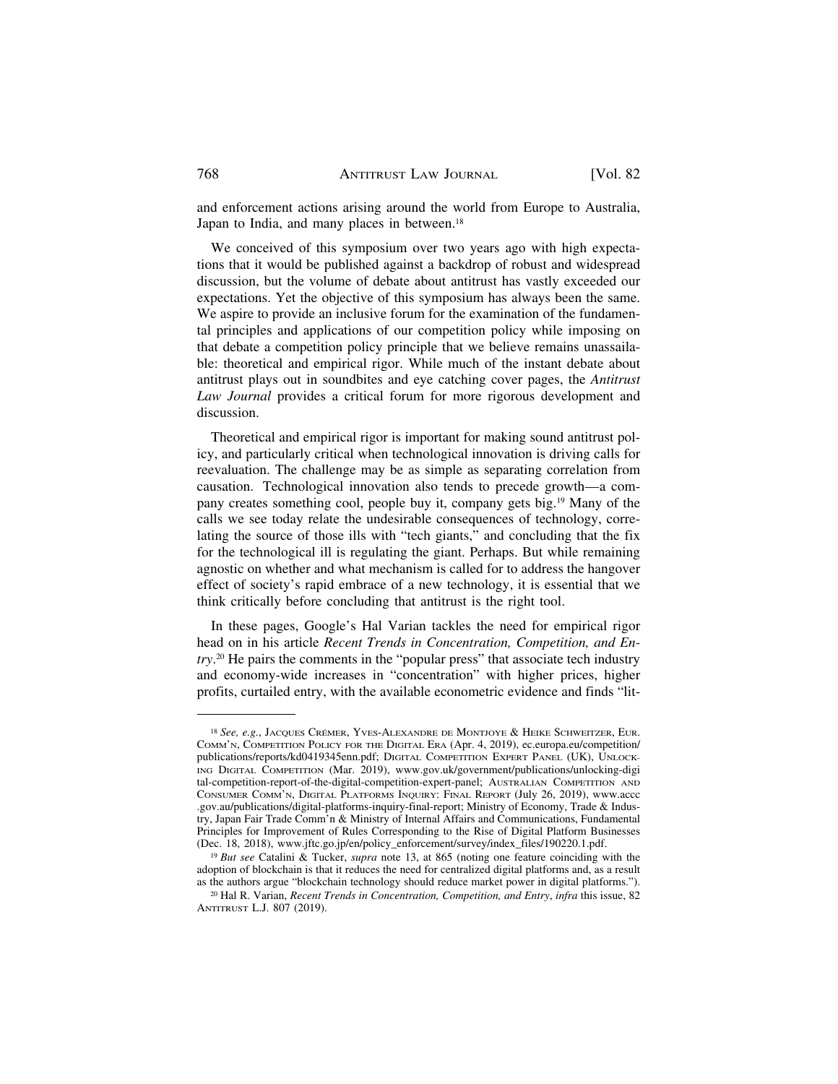and enforcement actions arising around the world from Europe to Australia, Japan to India, and many places in between.<sup>18</sup>

We conceived of this symposium over two years ago with high expectations that it would be published against a backdrop of robust and widespread discussion, but the volume of debate about antitrust has vastly exceeded our expectations. Yet the objective of this symposium has always been the same. We aspire to provide an inclusive forum for the examination of the fundamental principles and applications of our competition policy while imposing on that debate a competition policy principle that we believe remains unassailable: theoretical and empirical rigor. While much of the instant debate about antitrust plays out in soundbites and eye catching cover pages, the *Antitrust Law Journal* provides a critical forum for more rigorous development and discussion.

Theoretical and empirical rigor is important for making sound antitrust policy, and particularly critical when technological innovation is driving calls for reevaluation. The challenge may be as simple as separating correlation from causation. Technological innovation also tends to precede growth—a company creates something cool, people buy it, company gets big.19 Many of the calls we see today relate the undesirable consequences of technology, correlating the source of those ills with "tech giants," and concluding that the fix for the technological ill is regulating the giant. Perhaps. But while remaining agnostic on whether and what mechanism is called for to address the hangover effect of society's rapid embrace of a new technology, it is essential that we think critically before concluding that antitrust is the right tool.

In these pages, Google's Hal Varian tackles the need for empirical rigor head on in his article *Recent Trends in Concentration, Competition, and Entry*. 20 He pairs the comments in the "popular press" that associate tech industry and economy-wide increases in "concentration" with higher prices, higher profits, curtailed entry, with the available econometric evidence and finds "lit-

<sup>&</sup>lt;sup>18</sup> See, e.g., JACQUES CRÉMER, YVES-ALEXANDRE DE MONTJOYE & HEIKE SCHWEITZER, EUR. COMM'N, COMPETITION POLICY FOR THE DIGITAL ERA (Apr. 4, 2019), ec.europa.eu/competition/ publications/reports/kd0419345enn.pdf; DIGITAL COMPETITION EXPERT PANEL (UK), UNLOCK-ING DIGITAL COMPETITION (Mar. 2019), www.gov.uk/government/publications/unlocking-digi tal-competition-report-of-the-digital-competition-expert-panel; AUSTRALIAN COMPETITION AND CONSUMER COMM'N, DIGITAL PLATFORMS INQUIRY: FINAL REPORT (July 26, 2019), www.accc .gov.au/publications/digital-platforms-inquiry-final-report; Ministry of Economy, Trade & Industry, Japan Fair Trade Comm'n & Ministry of Internal Affairs and Communications, Fundamental Principles for Improvement of Rules Corresponding to the Rise of Digital Platform Businesses (Dec. 18, 2018), www.jftc.go.jp/en/policy\_enforcement/survey/index\_files/190220.1.pdf.

<sup>19</sup> *But see* Catalini & Tucker, *supra* note 13, at 865 (noting one feature coinciding with the adoption of blockchain is that it reduces the need for centralized digital platforms and, as a result as the authors argue "blockchain technology should reduce market power in digital platforms.").

<sup>20</sup> Hal R. Varian, *Recent Trends in Concentration, Competition, and Entry*, *infra* this issue, 82 ANTITRUST L.J. 807 (2019).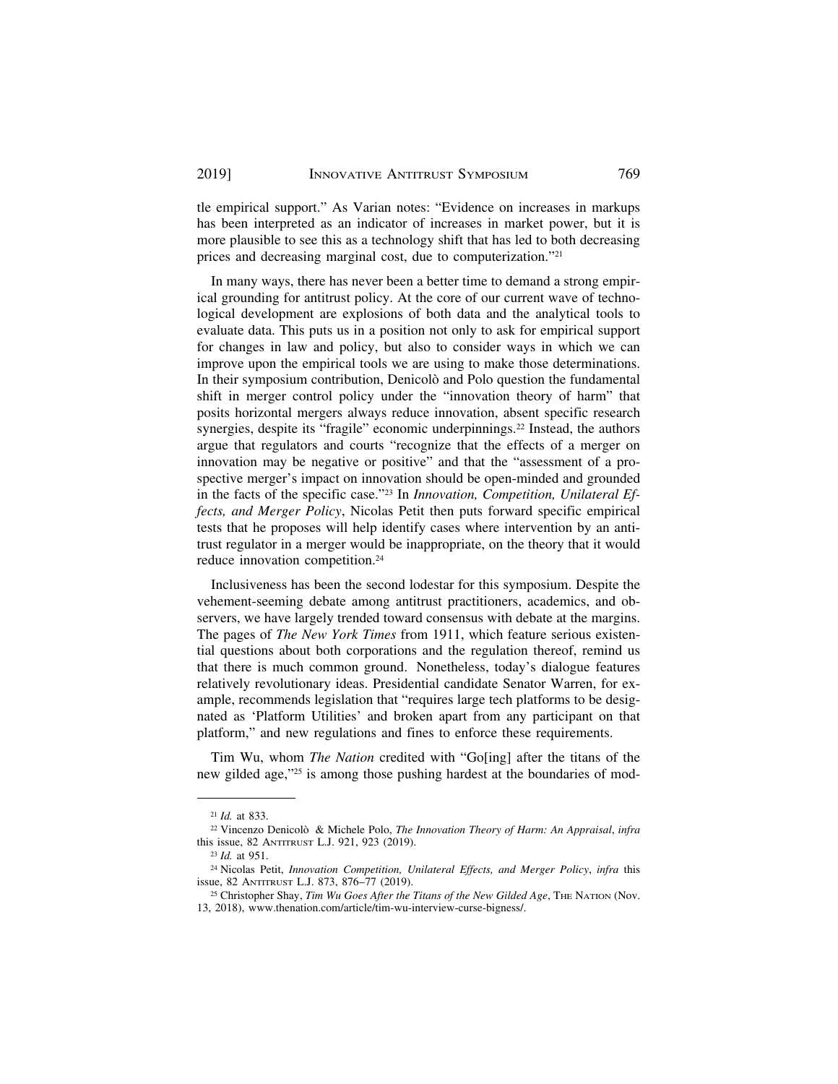tle empirical support." As Varian notes: "Evidence on increases in markups has been interpreted as an indicator of increases in market power, but it is more plausible to see this as a technology shift that has led to both decreasing prices and decreasing marginal cost, due to computerization."21

In many ways, there has never been a better time to demand a strong empirical grounding for antitrust policy. At the core of our current wave of technological development are explosions of both data and the analytical tools to evaluate data. This puts us in a position not only to ask for empirical support for changes in law and policy, but also to consider ways in which we can improve upon the empirical tools we are using to make those determinations. In their symposium contribution, Denicolò and Polo question the fundamental shift in merger control policy under the "innovation theory of harm" that posits horizontal mergers always reduce innovation, absent specific research synergies, despite its "fragile" economic underpinnings.<sup>22</sup> Instead, the authors argue that regulators and courts "recognize that the effects of a merger on innovation may be negative or positive" and that the "assessment of a prospective merger's impact on innovation should be open-minded and grounded in the facts of the specific case."23 In *Innovation, Competition, Unilateral Effects, and Merger Policy*, Nicolas Petit then puts forward specific empirical tests that he proposes will help identify cases where intervention by an antitrust regulator in a merger would be inappropriate, on the theory that it would reduce innovation competition.24

Inclusiveness has been the second lodestar for this symposium. Despite the vehement-seeming debate among antitrust practitioners, academics, and observers, we have largely trended toward consensus with debate at the margins. The pages of *The New York Times* from 1911, which feature serious existential questions about both corporations and the regulation thereof, remind us that there is much common ground. Nonetheless, today's dialogue features relatively revolutionary ideas. Presidential candidate Senator Warren, for example, recommends legislation that "requires large tech platforms to be designated as 'Platform Utilities' and broken apart from any participant on that platform," and new regulations and fines to enforce these requirements.

Tim Wu, whom *The Nation* credited with "Go[ing] after the titans of the new gilded age,"25 is among those pushing hardest at the boundaries of mod-

<sup>21</sup> *Id.* at 833.

<sup>&</sup>lt;sup>22</sup> Vincenzo Denicolò & Michele Polo, *The Innovation Theory of Harm: An Appraisal*, *infra* this issue, 82 ANTITRUST L.J. 921, 923 (2019).

<sup>23</sup> *Id.* at 951.

<sup>24</sup> Nicolas Petit, *Innovation Competition, Unilateral Effects, and Merger Policy*, *infra* this issue, 82 ANTITRUST L.J. 873, 876–77 (2019).

<sup>&</sup>lt;sup>25</sup> Christopher Shay, *Tim Wu Goes After the Titans of the New Gilded Age*, THE NATION (Nov. 13, 2018), www.thenation.com/article/tim-wu-interview-curse-bigness/.